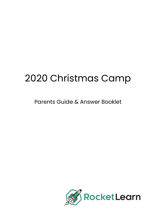# 2020 Christmas Camp

Parents Guide & Answer Booklet

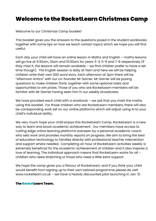# Welcome to the RocketLearn Christmas Camp

Welcome to our Christmas Camp booklet!

This booklet gives you the answers to the questions posed in the student workbooks together with some tips on how we teach certain topics which we hope you will find useful.

Each day your child will have an online lesson in Maths and English – maths lessons will go live at 9:30am, 10am and 10:30am for years 3-4, 5-6 and 7-8 respectively (if they miss it, the lessons will remain available – we find children prefer to have a set time though). The English session is daily at 11am and here we will be helping children write their own 500 word story. Each afternoon at 2pm there will be "Afternoon Antics" with our co-founder Mr Garner. Mr Garner will be posing questions to make children think, together with some optional tasks and opportunities to win prizes. Those of you who are RocketLearn members will be familiar with Mr Garner having seen him in our weekly broadcasts.

We have provided each child with a workbook – we ask that you mark the maths using this booklet. For those children who are RocketLearn members, there will also be corresponding work set on our online platforms which will adjust using AI to your child's individual ability.

We very much hope your child enjoys this RocketLearn Camp. RocketLearn is a new way to learn and boost academic achievement. Our members have access to cutting edge online learning platforms overseen by a personal academic coach who sets work and provides monthly reports on progress. We aim to bring the best of education technology to families directly with professional teacher intervention and support where needed. Completing an hour of RocketLearn activities weekly is extremely beneficial for the academic achievement of children and it also inspires a love of learning. The individual approach means that RocketLearn works for all – children who need stretching or those who need a little extra support.

We hope the camp gives you a flavour of RocketLearn, and if you think your child would benefit from signing up to their own tailored programme please do visit www.rocketlearn.co.uk – we have a heavily discounted pilot launching in Jan '21.

#### **The RocketLearn Team.**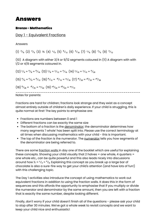#### Bronze - Mathematics

### Day 1 - Equivalent Fractions

Answers

 $(1)$   $^{4}/_{8}$   $(2)$   $^{4}/_{6}$   $(3)$   $^{2}/_{8}$   $(4)$   $^{2}/_{8}$   $(5)$   $^{8}/_{12}$   $(6)$   $^{4}/_{10}$   $(7)$   $^{2}/_{8}$   $(8)$   $^{4}/_{6}$   $(9)$   $^{4}/_{12}$ 

(10) A diagram with either 3/4 or 9/12 segments coloured in (11) A diagram with with 1/2 or 4/8 segments coloured in.

$$
(12) \frac{2}{4} = \frac{4}{8} = \frac{8}{16} \left(13\right) \frac{2}{8} = \frac{3}{12} = \frac{4}{16} \left(14\right) \frac{2}{10} = \frac{3}{15} = \frac{4}{20}
$$
\n
$$
(15) \frac{4}{6} = \frac{6}{9} = \frac{8}{12} \left(16\right) \frac{8}{12} = \frac{10}{15} = \frac{12}{18} \left(17\right) \frac{16}{20} = \frac{20}{25} = \frac{24}{30}
$$
\n
$$
(18) \frac{8}{28} = \frac{10}{35} = \frac{12}{42} \left(19\right) \frac{24}{54} = \frac{28}{63} = \frac{32}{72}
$$

Notes for parents:

Fractions are hard for children; fractions look strange and they exist as a concept almost entirely outside of children's daily experience. If your child is struggling, this is quite normal at first! The key points to emphasise are:

- Fractions are numbers between 0 and 1
- Different fractions can be exactly the same size
- The bottom of a fraction is the denominator; the denominator determines how many segments '1 whole' has been split into. Please use the correct terminology at all times when discussing mathematics with your child - this is important.
- The top of the fraction is the numerator. The numerator tells you how segments of the denominator are being referred to.

There are some *fraction walls* in day one of the booklet which are useful for explaining these concepts. Showing your child visually that 2 halves = one whole, 4 quarters = one whole etc., can be quite powerful and this also leads nicely into discussions around how  $\frac{1}{2} = \frac{2}{4} = \frac{4}{8}$ . Explaining this concept as you break up a large bar of chocolate is also a sure-fire way to get your child's attention (and have lots of fun!) with this challenging topic.

The Day 1 activities also introduce the concept of using mathematics to work out equivalent fractions in addition to using the fraction walls. It does this in the form of sequences and this affords the opportunity to emphasise that if you multiply or divide the numerator and denominator by the same amount, then you are left with a fraction that is exactly the same number, despite looking different.

Finally, don't worry if your child doesn't finish all of the questions - please ask your child to stop after 30 minutes. We've got a whole week to revisit concepts and we want to keep your child nice and enthusiastic!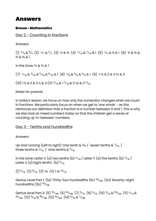### Bronze - Mathematics

# Day 2 - Counting in fractions

Answers

 $(1)$   $^{6}/_{9}$  &  $^{8}/_{9}$   $(2)$   $^{2}/_{7}$  &  $^{5}/_{7}$   $(3)$   $^{1}/_{5}$  &  $^{3}/_{6}$   $(4)$   $^{5}/_{10}$  &  $^{7}/_{10}$  & 1  $(5)$   $^{2}/_{4}$  &  $^{3}/_{4}$  & 1  $(6)$   $^{1}/_{5}$  &  $^{2}/_{5}$  & ⅗ & ⅘ & 1

In the Zone: ⅓ & ⅔ & 1

 $(7)$   $\frac{2}{10}$  &  $\frac{4}{10}$  &  $\frac{6}{10}$  &  $\frac{8}{10}$  & 1  $(8)$   $\frac{2}{8}$  &  $\frac{4}{8}$  &  $\frac{6}{8}$  & 1  $(9)$  1  $\frac{2}{3}$  & 2 & 2  $\frac{2}{3}$  & 3

 $(10)$  1 ½ & 2 & 2 ½ & 3  $(11)$   $\frac{9}{10}$  & 1 $\frac{5}{10}$  & 2 ¼  $\frac{6}{10}$  & 2  $\frac{4}{10}$ 

Notes for parents:

In today's lesson, we focus on how only the numerator changes when we count in fractions. We particularly focus on when we get to 'one whole' - as this reinforces our definition that a fraction is a number between 0 and 1. This is why we also look at mixed numbers today so that the children get a sense of counting up 'in-between' numbers.

# Day 3 - Tenths and hundredths

Answers

Up and running (Left to right): One tenth & ¼. / seven tenths &  $\frac{7}{10}$  / three tenths  $\& \frac{3}{10}$  / nine tenths  $\& \frac{9}{10}$ 

In the Zone: Letter X (a) two tenths (b)  $\frac{2}{10}$  / Letter Y (a) five tenths (b)  $\frac{5}{10}$  / Letter Z (a) Eight tenths  $(b)$ <sup>8</sup>/<sub>10</sub>

 $(1)$   $^{6}/_{10}$   $(2)$   $^{8}/_{10}$   $(3)$   $^{1}/_{10}$   $(4)$  1 or  $^{10}/_{10}$ 

Genius Level Part 1: (1a) Thirty-four hundredths (1b)  $\frac{34}{100}$  (2a) Seventy-eight hundredths  $(2b)$ <sup>78</sup>/<sub>100</sub>

Genius level Part 2: (5)  $^{70}/_{100}$  (6)  $^{40}/_{100}$  (7)  $^{8}/_{10}$  (9)  $^{4}/_{10}$  (10)  $^{5}/_{10}$  &  $^{50}/_{100}$  (11)  $^{2}/_{10}$  &  $^{20}/_{100}$  (12)  $^{8}/_{10}$  &  $^{80}/_{100}$  (13)  $^{43}/_{100}$  (14)  $^{6}/_{10}$  &  $^{7}/_{100}$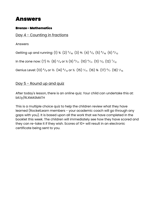# Bronze - Mathematics

# Day 4 - Counting in fractions

Answers

Getting up and running: (1) ¾ (2)  $\frac{5}{10}$  (3)  $\frac{4}{5}$  (4)  $\frac{5}{9}$  (5)  $\frac{9}{10}$  (6)  $\frac{4}{12}$ In the zone now: (7) ¾ (8)  $\frac{2}{4}$  or ½ (9)  $\frac{9}{11}$  (10)  $\frac{4}{11}$  (11)  $\frac{2}{9}$  (12)  $\frac{7}{12}$ 

Genius Level: (13)  $\frac{6}{9}$  or  $\frac{26}{3}$  (14)  $\frac{6}{12}$  or  $\frac{1}{2}$  (15)  $\frac{1}{11}$  (16)  $\frac{3}{8}$  (17)  $\frac{4}{7}$  (18)  $\frac{1}{15}$ 

# Day 5 - Round up and quiz

After today's lesson, there is an online quiz. Your child can undertake this at: bit.ly/RLXMASMATH

This is a multiple choice quiz to help the children review what they have learned (RocketLearn members - your academic coach will go through any gaps with you). It is based upon all the work that we have completed in the booklet this week. The children will immediately see how they have scored and they can re-take it if they wish. Scores of 10+ will result in an electronic certificate being sent to you.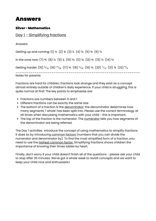### Silver - Mathematics

# Day 1 - Simplifying fractions

Answers

Getting up and running: (1) ½ (2) ¾ (3) ½ (4) ½ (5) ¾ (6) ½ in the zone now: (7) ⅘ (8) ⅓ (9) ¼ (10) ⅔ (11) ⅚ (12) ⅘ (13) ⅓ (14) ⅔ Getting harder: (15)  $\frac{3}{10}$  (16)  $\frac{17}{20}$  (17)  $\frac{3}{5}$  (18)  $\frac{17}{25}$  (19)  $\frac{25}{5}$  (20)  $\frac{7}{12}$  (21)  $\frac{76}{5}$  (22)  $\frac{4}{9}$ \_\_\_\_\_\_\_\_\_\_\_\_\_\_\_\_\_\_\_\_\_\_\_\_\_\_\_\_\_\_\_\_\_\_\_\_\_\_\_\_\_\_\_\_\_\_\_\_\_\_\_\_\_\_\_\_\_\_\_ Notes for parents:

Fractions are hard for children; fractions look strange and they exist as a concept almost entirely outside of children's daily experience. If your child is struggling, this is quite normal at first! The key points to emphasise are:

- Fractions are numbers between 0 and 1
- Different fractions can be exactly the same size
- The bottom of a fraction is the denominator; the denominator determines how many segments '1 whole' has been split into. Please use the correct terminology at all times when discussing mathematics with your child - this is important.
- The top of the fraction is the numerator. The numerator tells you how segments of the denominator are being referred.

The Day 1 activities introduce the concept of using mathematics to simplify fractions. It does so by introducing common factors (numbers that you can divide the numerator and denominator by). To find the most simplified form of a fraction, you need to use the highest common factor. Simplifying fractions shows children the importance of knowing their times tables by heart.

Finally, don't worry if your child doesn't finish all of the questions - please ask your child to stop after 30 minutes. We've got a whole week to revisit concepts and we want to keep your child nice and enthusiastic!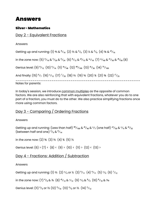### Silver - Mathematics

# Day 2 - Equivalent Fractions

Answers

Getting up and running: (1)  $\frac{1}{5}$  &  $\frac{1}{10}$  (2)  $\frac{2}{3}$  &  $\frac{4}{6}$  (3)  $\frac{1}{2}$  &  $\frac{4}{8}$  (4)  $\frac{5}{8}$  &  $\frac{10}{16}$ in the zone now: (5)  $\frac{4}{16}$  &  $\frac{5}{20}$  &  $\frac{6}{24}$  (6)  $\frac{8}{12}$  &  $\frac{10}{15}$  &  $\frac{12}{18}$  (7)  $\frac{12}{40}$  &  $\frac{15}{50}$  &  $\frac{18}{60}$  (8) Genius level: (9)  $\frac{8}{12}$  (10)  $\frac{6}{14}$  (11)  $\frac{42}{48}$  (12)  $\frac{40}{100}$  (13)  $\frac{16}{36}$  (14)  $\frac{75}{100}$ And finally: (15)  $\frac{6}{7}$  (16)  $\frac{1}{12}$  (17)  $\frac{7}{20}$  (18)  $\frac{26}{3}$  (19)  $\frac{56}{3}$  (20)  $\frac{36}{4}$  (21)  $\frac{36}{3}$  (22)  $\frac{17}{25}$ \_\_\_\_\_\_\_\_\_\_\_\_\_\_\_\_\_\_\_\_\_\_\_\_\_\_\_\_\_\_\_\_\_\_\_\_\_\_\_\_\_\_\_\_\_\_\_\_\_\_\_\_\_\_\_\_\_\_\_ Notes for parents:

In today's session, we introduce common multiples as the opposite of common factors. We are also reinforcing that with equivalent fractions, whatever you do to one part of a fraction, you must do to the other. We also practice simplifying fractions once more using common factors.

# Day 3 - Comparing / Ordering Fractions

Answers

Getting up and running: (Less than half)  $^{40}$ /<sub>100</sub> &  $^{10}$ /<sub>40</sub> &  $^{3}$ /<sub>7</sub> (one half)  $^{25}$ /<sub>50</sub> &  $^{2}$ /<sub>4</sub> &  $^{16}$ /<sub>32</sub> (between half and one)  $\frac{4}{6}$  &  $\frac{8}{14}$ 

in the zone now:  $(2)$  %  $(3)$  %  $(4)$  %  $(5)$  %

Genius level:  $(6)$  >  $(7)$  <  $(8)$  <  $(9)$  >  $(10)$  <  $(11)$  >  $(12)$  <  $(13)$  >

# Day 4 - Fractions; Addition / Subtraction

#### Answers

Getting up and running: (1)  $\frac{3}{2}$  (2)  $\frac{2}{4}$  or  $\frac{1}{2}$  (3)  $\frac{9}{11}$  (4)  $\frac{4}{11}$  (5)  $\frac{2}{9}$  (6)  $\frac{7}{12}$ 

in the zone now: (7)  $^{4}/_{8}$  & % (8)  $^{10}/_{12}$  &  $^{1}/_{12}$  (9)  $^{3}/_{9}$  &  $^{8}/_{9}$  (10)  $^{8}/_{10}$  &  $^{1}/_{10}$ 

Genius level: (11)  $^{4}/_{6}$  or  $^{2}/_{3}$  (12)  $^{9}/_{10}$  (13)  $^{4}/_{6}$  or  $^{2}/_{3}$  (14)  $^{5}/_{12}$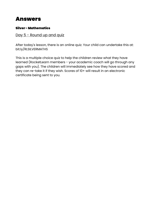# Silver - Mathematics

# Day 5 - Round up and quiz

After today's lesson, there is an online quiz. Your child can undertake this at: bit.ly/RLSILVERMATHS

This is a multiple choice quiz to help the children review what they have learned (RocketLearn members - your academic coach will go through any gaps with you). The children will immediately see how they have scored and they can re-take it if they wish. Scores of 10+ will result in an electronic certificate being sent to you.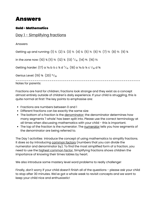### Gold - Mathematics

# Day 1 - Simplifying fractions

Answers

Getting up and running: (1) ½ (2) ¼ (3) ½ (4) ¼ (5) ½ (6) ¾ (7) ½ (8) ½ (9) ¾

in the zone now: (10) ¾ (11) ⅔ (12) ¾ (13)  $\frac{7}{10}$  (14) ½ (16) ⅔

Getting harder: (17) a *Y*<sub>10</sub> b ¼ c ¾ d  $\frac{7}{10}$  (18) a *Y*<sub>10</sub> b ½ c  $\frac{1}{20}$  d <sup>5</sup>

Genius Level:  $(19)$  <sup>5</sup>%  $(20)$  <sup>13</sup>/<sub>20</sub>

\_\_\_\_\_\_\_\_\_\_\_\_\_\_\_\_\_\_\_\_\_\_\_\_\_\_\_\_\_\_\_\_\_\_\_\_\_\_\_\_\_\_\_\_\_\_\_\_\_\_\_\_\_\_\_\_\_\_\_ Notes for parents:

Fractions are hard for children; fractions look strange and they exist as a concept almost entirely outside of children's daily experience. If your child is struggling, this is quite normal at first! The key points to emphasise are:

- Fractions are numbers between 0 and 1
- Different fractions can be exactly the same size
- The bottom of a fraction is the denominator; the denominator determines how many segments '1 whole' has been split into. Please use the correct terminology at all times when discussing mathematics with your child - this is important.
- The top of the fraction is the numerator. The numerator tells you how segments of the denominator are being referred to.

The Day 1 activities introduce the concept of using mathematics to simplify fractions. It does so by introducing common factors (numbers that you can divide the numerator and denominator by). To find the most simplified form of a fraction, you need to use the highest common factor. Simplifying fractions shows children the importance of knowing their times tables by heart.

We also introduce some mastery level word problems to really challenge!

Finally, don't worry if your child doesn't finish all of the questions - please ask your child to stop after 30 minutes. We've got a whole week to revisit concepts and we want to keep your child nice and enthusiastic!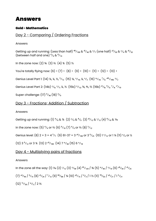### Gold - Mathematics

# Day 2 - Comparing / Ordering Fractions

Answers

Getting up and running: (Less than half)  $^{40}$ /<sub>100</sub> &  $^{10}$ /<sub>40</sub> &  $^{3}$ /<sub>7</sub> (one half)  $^{25}$ /<sub>50</sub> &  $^{2}$ /<sub>4</sub> &  $^{16}$ /<sub>32</sub> (between half and one)  $\frac{4}{6}$  &  $\frac{8}{14}$ 

In the zone now:  $(2)$  %  $(3)$  %  $(4)$  %  $(5)$  %

You're totally flying now:  $(6)$  >  $(7)$  <  $(8)$  <  $(9)$  >  $(10)$  <  $(11)$  >  $(12)$  <  $(13)$  >

Genius Level Part 1: (14) ¼, ¼, ¼, <sup>5</sup>/<sub>12</sub> (15) ¼, <sup>3</sup>/<sub>16</sub>, ¼, <sup>3</sup>/<sub>2</sub> (16)  $^{13}$ /<sub>10</sub>, <sup>7</sup>/<sub>5</sub>,  $^{145}$ /<sub>100</sub>, <sup>3</sup>/<sub>2</sub>

Genius Level Part 2: (14b)  $\frac{2}{6}$ ,  $\frac{2}{7}$ , ¼, ½ (15b)  $\frac{11}{12}$ , ½, ½, ½ (16b)  $\frac{15}{8}$ ,  $\frac{9}{5}$ ,  $\frac{7}{4}$ ,  $\frac{17}{10}$ 

Super challenge:  $(17)$   $\frac{9}{40}$   $(18)$   $\frac{4}{9}$ 

### Day 3 - Fractions; Addition / Subtraction

Answers

Getting up and running: (1)  $^{4}/_{8}$  &  $^{7}/_{8}$  (2)  $^{3}/_{9}$  &  $^{8}/_{9}$  (3)  $^{10}/_{12}$  &  $^{1}/_{12}$  (4)  $^{8}/_{10}$  &  $^{1}/_{10}$ 

in the zone now: (5)  $\frac{4}{6}$  or  $\frac{2}{3}$  (6)  $\frac{9}{10}$  (7)  $\frac{4}{6}$  or  $\frac{2}{3}$  (8)  $\frac{5}{12}$ 

Genius level: (8)  $2 + 3 = 4\frac{5}{7}$  (9)  $61-37 = 3\frac{24}{100}$  or  $3\frac{6}{25}$  (10)  $1\frac{2}{12}$  or  $1\frac{1}{6}$  (11)  $\frac{3}{6}$  or  $\frac{1}{2}$ 

 $(12)$  3  $\frac{9}{12}$  or 3  $\frac{3}{4}$   $(13)$  2  $\frac{29}{100}$   $(14)$  7  $\frac{21}{40}$   $(15)$  6  $\frac{11}{18}$ 

### Day 4 - Multiplying pairs of fractions

#### Answers

In the zone all the way: (1)  $\frac{1}{10}$  (2)  $\frac{1}{12}$  (3)  $\frac{3}{40}$  (4)  $\frac{45}{120}$  /  $\frac{3}{8}$  (5)  $\frac{12}{40}$  /  $\frac{3}{10}$  (6)  $\frac{28}{50}$  /  $\frac{14}{25}$  $(7)$   $^{24}/_{90}$  /  $^{4}/_{15}$   $(8)$   $^{14}/_{24}$  /  $^{7}/_{12}$   $(9)$   $^{66}/_{88}$  /  $^{34}$   $(10)$   $^{20}/_{15}$  /  $^{4}/_{3}$  / 1 ½  $(11)$   $^{78}/_{63}$  /  $^{26}/_{21}$  / 1  $^{5}/_{21}$  $(12)$   $\frac{72}{30}$   $\frac{12}{5}$   $\frac{23}{5}$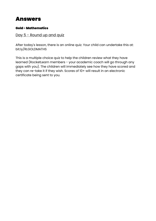### Gold - Mathematics

# Day 5 - Round up and quiz

After today's lesson, there is an online quiz. Your child can undertake this at: bit.ly/RLGOLDMATHS

This is a multiple choice quiz to help the children review what they have learned (RocketLearn members - your academic coach will go through any gaps with you). The children will immediately see how they have scored and they can re-take it if they wish. Scores of 10+ will result in an electronic certificate being sent to you.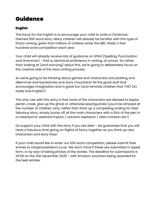# Guidance

# English

The focus for the English is to encourage your child to write a Christmasthemed 500 word story. Many children will already be familiar with this type of fiction writing, given that millions of children enter the BBC Radio 2 fivehundred word competition each year.

Your child will already receive lots of guidance on SPAG (Spelling, Punctuation and Grammar) - that is, technical proficiency in writing, at school. So rather than looking at (and worrying) about this, we're going to deliberately focus on the creative side of the story writing process.

So we're going to be thinking about genres and characters and plotting and dilemmas and backstories and story mountains! All the good stuff that encourages imagination and is great fun (and reminds children that THEY DO really love English!)

The only rule with this story is that none of the characters are allowed to expire, perish, croak, give up the ghost or otherwise exsanguinate (you'd be amazed at the number of children, who, rather than think up a compelling ending for their fabulous story, simply bump off all the main characters with a flick of the pen in a cataclysmic asteroid impact / volcanic explosion / alien invasion etc!)

Do support your child with the story if you are able - we guarantee that you will have a fabulous time going on flights of fancy together as you think up new characters and story lines!

If your child would like to enter our 500 word competition, please submit their entries to info@rocketlearn.co.uk We don't mind if these are submitted in typed form, or by way of taking photos of the stories. The deadline for submissions is 23:59 on the 31st December 2020 - with Amazon vouchers being awarded for the best entries.